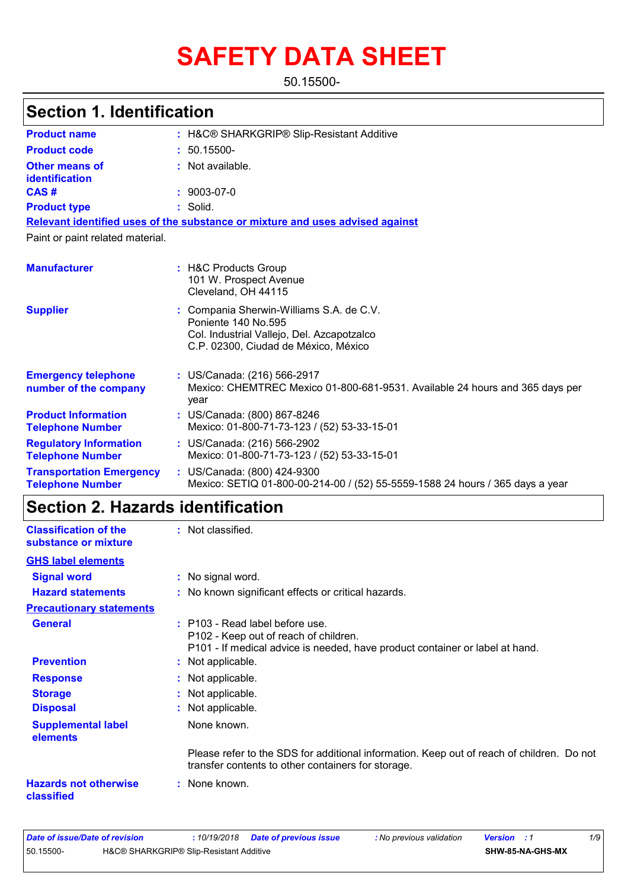# **SAFETY DATA SHEET**

50.15500-

| <b>Product name</b>                                        | : H&C® SHARKGRIP® Slip-Resistant Additive                                                                                                             |
|------------------------------------------------------------|-------------------------------------------------------------------------------------------------------------------------------------------------------|
| <b>Product code</b>                                        | $: 50.15500 -$                                                                                                                                        |
| <b>Other means of</b><br>identification                    | : Not available.                                                                                                                                      |
| CAS#                                                       | $: 9003 - 07 - 0$                                                                                                                                     |
| <b>Product type</b>                                        | : Solid.                                                                                                                                              |
|                                                            | Relevant identified uses of the substance or mixture and uses advised against                                                                         |
| Paint or paint related material.                           |                                                                                                                                                       |
| <b>Manufacturer</b>                                        | : H&C Products Group<br>101 W. Prospect Avenue<br>Cleveland, OH 44115                                                                                 |
| <b>Supplier</b>                                            | : Compania Sherwin-Williams S.A. de C.V.<br>Poniente 140 No.595<br>Col. Industrial Vallejo, Del. Azcapotzalco<br>C.P. 02300, Ciudad de México, México |
| <b>Emergency telephone</b><br>number of the company        | : US/Canada: (216) 566-2917<br>Mexico: CHEMTREC Mexico 01-800-681-9531. Available 24 hours and 365 days per<br>vear                                   |
| <b>Product Information</b><br><b>Telephone Number</b>      | : US/Canada: (800) 867-8246<br>Mexico: 01-800-71-73-123 / (52) 53-33-15-01                                                                            |
| <b>Regulatory Information</b><br><b>Telephone Number</b>   | : US/Canada: (216) 566-2902<br>Mexico: 01-800-71-73-123 / (52) 53-33-15-01                                                                            |
| <b>Transportation Emergency</b><br><b>Telephone Number</b> | : US/Canada: (800) 424-9300<br>Mexico: SETIQ 01-800-00-214-00 / (52) 55-5559-1588 24 hours / 365 days a year                                          |

# **Section 2. Hazards identification**

| <b>Classification of the</b><br>substance or mixture | : Not classified.                                                                                                                                        |
|------------------------------------------------------|----------------------------------------------------------------------------------------------------------------------------------------------------------|
| <b>GHS label elements</b>                            |                                                                                                                                                          |
| <b>Signal word</b>                                   | : No signal word.                                                                                                                                        |
| <b>Hazard statements</b>                             | : No known significant effects or critical hazards.                                                                                                      |
| <b>Precautionary statements</b>                      |                                                                                                                                                          |
| <b>General</b>                                       | : P103 - Read label before use.<br>P102 - Keep out of reach of children.<br>P101 - If medical advice is needed, have product container or label at hand. |
| <b>Prevention</b>                                    | : Not applicable.                                                                                                                                        |
| <b>Response</b>                                      | : Not applicable.                                                                                                                                        |
| <b>Storage</b>                                       | : Not applicable.                                                                                                                                        |
| <b>Disposal</b>                                      | : Not applicable.                                                                                                                                        |
| <b>Supplemental label</b><br>elements                | None known.                                                                                                                                              |
|                                                      | Please refer to the SDS for additional information. Keep out of reach of children. Do not<br>transfer contents to other containers for storage.          |
| <b>Hazards not otherwise</b><br>classified           | : None known.                                                                                                                                            |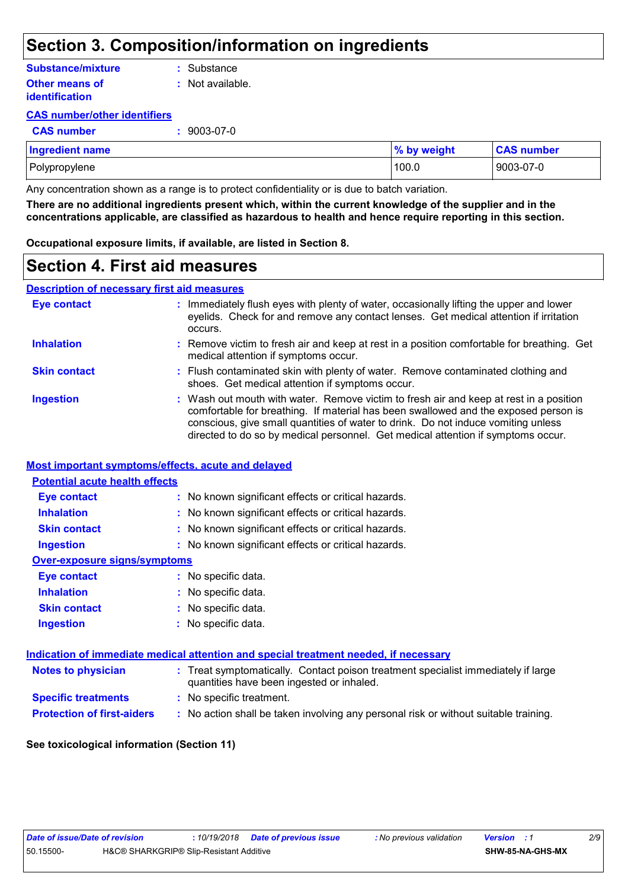## **Section 3. Composition/information on ingredients**

### **Other means of Substance/mixture**

**identification**

**:** Substance

**:** Not available.

### **CAS number/other identifiers**

**CAS number :** 9003-07-0

| <b>Ingredient name</b> | % by weight | <b>CAS number</b> |
|------------------------|-------------|-------------------|
| Polypropylene          | 100.0       | 9003-07-0         |

Any concentration shown as a range is to protect confidentiality or is due to batch variation.

**There are no additional ingredients present which, within the current knowledge of the supplier and in the concentrations applicable, are classified as hazardous to health and hence require reporting in this section.**

**Occupational exposure limits, if available, are listed in Section 8.**

### **Section 4. First aid measures**

### **Description of necessary first aid measures**

| Eye contact         | : Immediately flush eyes with plenty of water, occasionally lifting the upper and lower<br>eyelids. Check for and remove any contact lenses. Get medical attention if irritation<br>occurs.                                                                                                                                                            |
|---------------------|--------------------------------------------------------------------------------------------------------------------------------------------------------------------------------------------------------------------------------------------------------------------------------------------------------------------------------------------------------|
| <b>Inhalation</b>   | : Remove victim to fresh air and keep at rest in a position comfortable for breathing. Get<br>medical attention if symptoms occur.                                                                                                                                                                                                                     |
| <b>Skin contact</b> | : Flush contaminated skin with plenty of water. Remove contaminated clothing and<br>shoes. Get medical attention if symptoms occur.                                                                                                                                                                                                                    |
| <b>Ingestion</b>    | : Wash out mouth with water. Remove victim to fresh air and keep at rest in a position<br>comfortable for breathing. If material has been swallowed and the exposed person is<br>conscious, give small quantities of water to drink. Do not induce vomiting unless<br>directed to do so by medical personnel. Get medical attention if symptoms occur. |

### **Most important symptoms/effects, acute and delayed**

### **Inhalation :** No known significant effects or critical hazards. **Ingestion :** No known significant effects or critical hazards. **Skin contact :** No known significant effects or critical hazards. **Eye contact :** No known significant effects or critical hazards. **Over-exposure signs/symptoms Skin contact Ingestion Inhalation :** No specific data. No specific data. **:** No specific data. **: Eye contact :** No specific data. **Potential acute health effects**

| Indication of immediate medical attention and special treatment needed, if necessary |                                                                                                                                |  |
|--------------------------------------------------------------------------------------|--------------------------------------------------------------------------------------------------------------------------------|--|
| <b>Notes to physician</b>                                                            | : Treat symptomatically. Contact poison treatment specialist immediately if large<br>quantities have been ingested or inhaled. |  |
| <b>Specific treatments</b>                                                           | : No specific treatment.                                                                                                       |  |
| <b>Protection of first-aiders</b>                                                    | : No action shall be taken involving any personal risk or without suitable training.                                           |  |

### **See toxicological information (Section 11)**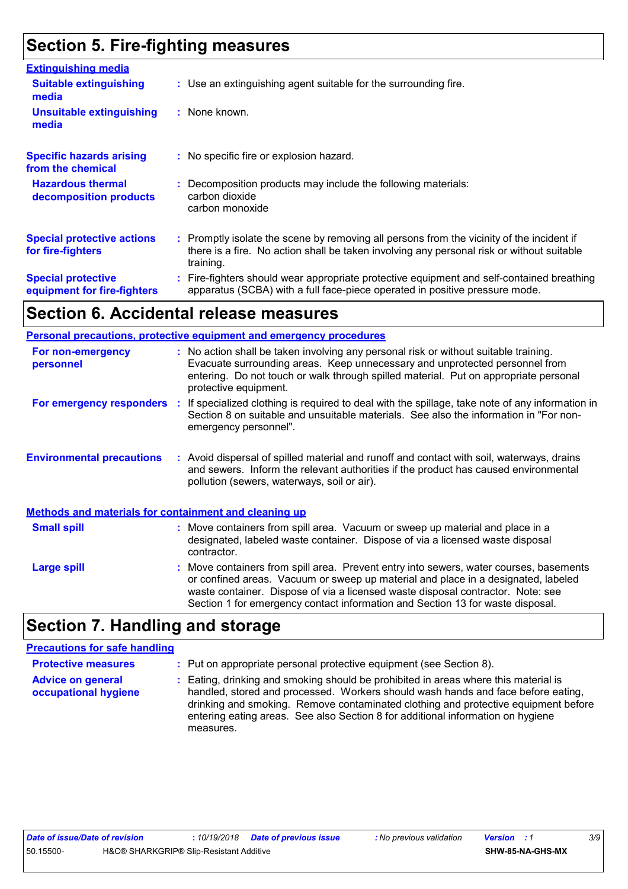# **Section 5. Fire-fighting measures**

| <b>Extinguishing media</b>                               |                                                                                                                                                                                                     |
|----------------------------------------------------------|-----------------------------------------------------------------------------------------------------------------------------------------------------------------------------------------------------|
| <b>Suitable extinguishing</b><br>media                   | : Use an extinguishing agent suitable for the surrounding fire.                                                                                                                                     |
| <b>Unsuitable extinguishing</b><br>media                 | : None known.                                                                                                                                                                                       |
| <b>Specific hazards arising</b><br>from the chemical     | : No specific fire or explosion hazard.                                                                                                                                                             |
| <b>Hazardous thermal</b><br>decomposition products       | Decomposition products may include the following materials:<br>carbon dioxide<br>carbon monoxide                                                                                                    |
| <b>Special protective actions</b><br>for fire-fighters   | : Promptly isolate the scene by removing all persons from the vicinity of the incident if<br>there is a fire. No action shall be taken involving any personal risk or without suitable<br>training. |
| <b>Special protective</b><br>equipment for fire-fighters | Fire-fighters should wear appropriate protective equipment and self-contained breathing<br>apparatus (SCBA) with a full face-piece operated in positive pressure mode.                              |

### **Section 6. Accidental release measures**

|                                                              | <b>Personal precautions, protective equipment and emergency procedures</b>                                                                                                                                                                                                                                                                       |  |  |
|--------------------------------------------------------------|--------------------------------------------------------------------------------------------------------------------------------------------------------------------------------------------------------------------------------------------------------------------------------------------------------------------------------------------------|--|--|
| For non-emergency<br>personnel                               | : No action shall be taken involving any personal risk or without suitable training.<br>Evacuate surrounding areas. Keep unnecessary and unprotected personnel from<br>entering. Do not touch or walk through spilled material. Put on appropriate personal<br>protective equipment.                                                             |  |  |
| For emergency responders                                     | If specialized clothing is required to deal with the spillage, take note of any information in<br>- 11<br>Section 8 on suitable and unsuitable materials. See also the information in "For non-<br>emergency personnel".                                                                                                                         |  |  |
| <b>Environmental precautions</b>                             | : Avoid dispersal of spilled material and runoff and contact with soil, waterways, drains<br>and sewers. Inform the relevant authorities if the product has caused environmental<br>pollution (sewers, waterways, soil or air).                                                                                                                  |  |  |
| <b>Methods and materials for containment and cleaning up</b> |                                                                                                                                                                                                                                                                                                                                                  |  |  |
| <b>Small spill</b>                                           | : Move containers from spill area. Vacuum or sweep up material and place in a<br>designated, labeled waste container. Dispose of via a licensed waste disposal<br>contractor.                                                                                                                                                                    |  |  |
| <b>Large spill</b>                                           | : Move containers from spill area. Prevent entry into sewers, water courses, basements<br>or confined areas. Vacuum or sweep up material and place in a designated, labeled<br>waste container. Dispose of via a licensed waste disposal contractor. Note: see<br>Section 1 for emergency contact information and Section 13 for waste disposal. |  |  |

# **Section 7. Handling and storage**

#### **Advice on general occupational hygiene** Eating, drinking and smoking should be prohibited in areas where this material is **:** handled, stored and processed. Workers should wash hands and face before eating, drinking and smoking. Remove contaminated clothing and protective equipment before entering eating areas. See also Section 8 for additional information on hygiene measures. **Protective measures :** Put on appropriate personal protective equipment (see Section 8). **Precautions for safe handling**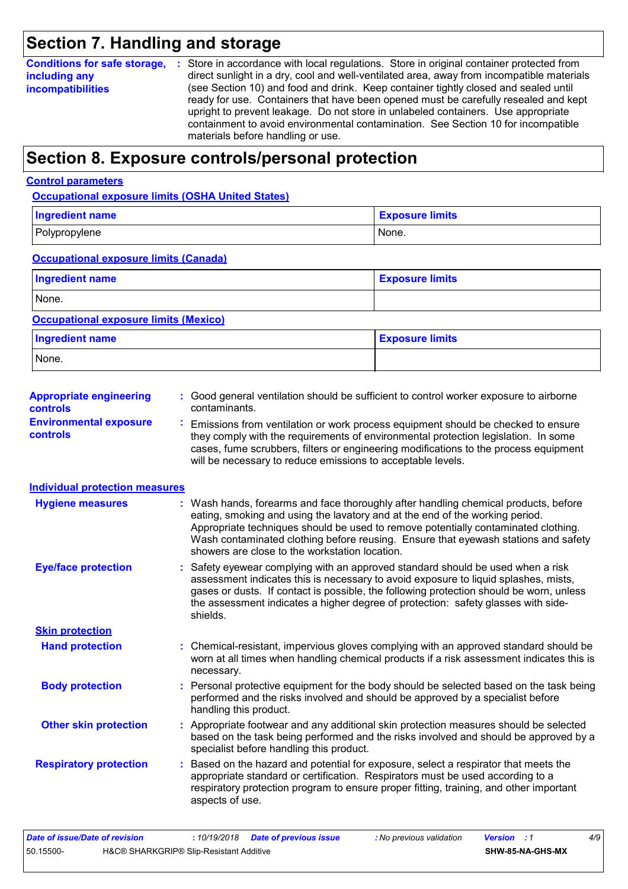# **Section 7. Handling and storage**

| <b>incompatibilities</b><br>ready for use. Containers that have been opened must be carefully resealed and kept<br>upright to prevent leakage. Do not store in unlabeled containers. Use appropriate<br>containment to avoid environmental contamination. See Section 10 for incompatible<br>materials before handling or use. | <b>Conditions for safe storage,</b><br>including any | Store in accordance with local regulations. Store in original container protected from<br>- 197<br>direct sunlight in a dry, cool and well-ventilated area, away from incompatible materials<br>(see Section 10) and food and drink. Keep container tightly closed and sealed until |
|--------------------------------------------------------------------------------------------------------------------------------------------------------------------------------------------------------------------------------------------------------------------------------------------------------------------------------|------------------------------------------------------|-------------------------------------------------------------------------------------------------------------------------------------------------------------------------------------------------------------------------------------------------------------------------------------|
|                                                                                                                                                                                                                                                                                                                                |                                                      |                                                                                                                                                                                                                                                                                     |

# **Section 8. Exposure controls/personal protection**

### **Control parameters**

**Occupational exposure limits (OSHA United States)**

| <b>Ingredient name</b> | <b>Exposure limits</b> |
|------------------------|------------------------|
| Polypropylene          | None.                  |

### **Occupational exposure limits (Canada)**

| <b>Ingredient name</b> | <b>Exposure limits</b> |
|------------------------|------------------------|
| None.                  |                        |

### **Occupational exposure limits (Mexico)**

| <b>Ingredient name</b> | <b>Exposure limits</b> |
|------------------------|------------------------|
| None.                  |                        |

| <b>Appropriate engineering</b><br><b>controls</b> | : Good general ventilation should be sufficient to control worker exposure to airborne<br>contaminants.                                                                |
|---------------------------------------------------|------------------------------------------------------------------------------------------------------------------------------------------------------------------------|
| <b>Environmental exposure</b><br><b>controls</b>  | Emissions from ventilation or work process equipment should be checked to ensure<br>they comply with the requirements of environmental protection legislation. In some |

|                 | <u>Linoviolio from Voltalation of Work processo ogalphront onoald bo chookod to onoal o</u> |
|-----------------|---------------------------------------------------------------------------------------------|
| <b>controls</b> | they comply with the requirements of environmental protection legislation. In some          |
|                 | cases, fume scrubbers, filters or engineering modifications to the process equipment        |
|                 | will be necessary to reduce emissions to acceptable levels.                                 |
|                 |                                                                                             |

### **Individual protection measures**

| <b>Hygiene measures</b>       | : Wash hands, forearms and face thoroughly after handling chemical products, before<br>eating, smoking and using the lavatory and at the end of the working period.<br>Appropriate techniques should be used to remove potentially contaminated clothing.<br>Wash contaminated clothing before reusing. Ensure that eyewash stations and safety<br>showers are close to the workstation location. |
|-------------------------------|---------------------------------------------------------------------------------------------------------------------------------------------------------------------------------------------------------------------------------------------------------------------------------------------------------------------------------------------------------------------------------------------------|
| <b>Eye/face protection</b>    | : Safety eyewear complying with an approved standard should be used when a risk<br>assessment indicates this is necessary to avoid exposure to liquid splashes, mists,<br>gases or dusts. If contact is possible, the following protection should be worn, unless<br>the assessment indicates a higher degree of protection: safety glasses with side-<br>shields.                                |
| <b>Skin protection</b>        |                                                                                                                                                                                                                                                                                                                                                                                                   |
| <b>Hand protection</b>        | : Chemical-resistant, impervious gloves complying with an approved standard should be<br>worn at all times when handling chemical products if a risk assessment indicates this is<br>necessary.                                                                                                                                                                                                   |
| <b>Body protection</b>        | : Personal protective equipment for the body should be selected based on the task being<br>performed and the risks involved and should be approved by a specialist before<br>handling this product.                                                                                                                                                                                               |
| <b>Other skin protection</b>  | : Appropriate footwear and any additional skin protection measures should be selected<br>based on the task being performed and the risks involved and should be approved by a<br>specialist before handling this product.                                                                                                                                                                         |
| <b>Respiratory protection</b> | : Based on the hazard and potential for exposure, select a respirator that meets the<br>appropriate standard or certification. Respirators must be used according to a<br>respiratory protection program to ensure proper fitting, training, and other important<br>aspects of use.                                                                                                               |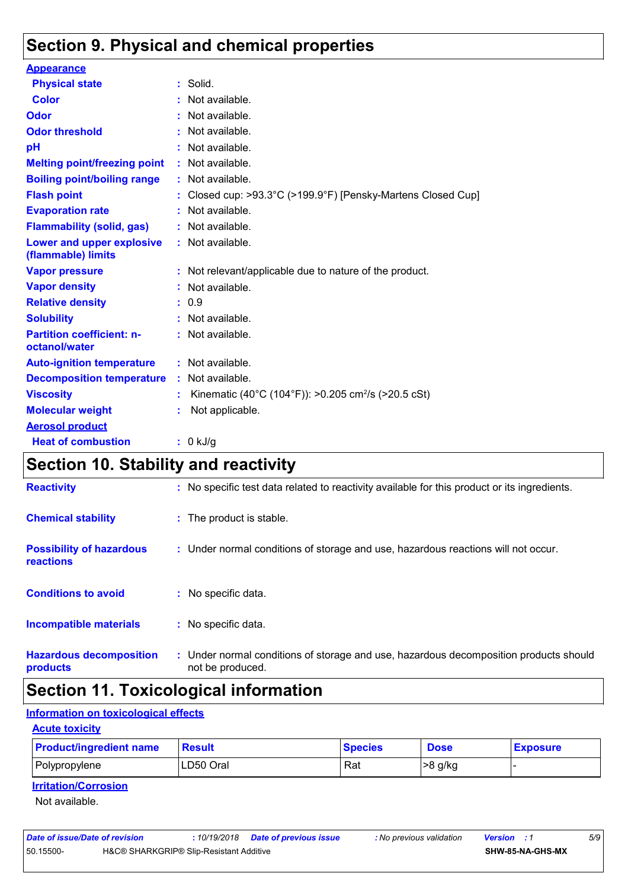# **Section 9. Physical and chemical properties**

| <b>Appearance</b>                                 |    |                                                                 |
|---------------------------------------------------|----|-----------------------------------------------------------------|
| <b>Physical state</b>                             |    | : Solid.                                                        |
| <b>Color</b>                                      |    | Not available.                                                  |
| <b>Odor</b>                                       |    | Not available.                                                  |
| <b>Odor threshold</b>                             |    | Not available.                                                  |
| рH                                                |    | Not available.                                                  |
| <b>Melting point/freezing point</b>               |    | : Not available.                                                |
| <b>Boiling point/boiling range</b>                |    | : Not available.                                                |
| <b>Flash point</b>                                |    | Closed cup: >93.3°C (>199.9°F) [Pensky-Martens Closed Cup]      |
| <b>Evaporation rate</b>                           |    | Not available.                                                  |
| <b>Flammability (solid, gas)</b>                  |    | : Not available.                                                |
| Lower and upper explosive<br>(flammable) limits   |    | : Not available.                                                |
| <b>Vapor pressure</b>                             |    | : Not relevant/applicable due to nature of the product.         |
| <b>Vapor density</b>                              |    | Not available.                                                  |
| <b>Relative density</b>                           |    | : 0.9                                                           |
| <b>Solubility</b>                                 |    | Not available.                                                  |
| <b>Partition coefficient: n-</b><br>octanol/water |    | : Not available.                                                |
| <b>Auto-ignition temperature</b>                  |    | : Not available.                                                |
| <b>Decomposition temperature</b>                  | ÷. | Not available.                                                  |
| <b>Viscosity</b>                                  |    | Kinematic (40°C (104°F)): >0.205 cm <sup>2</sup> /s (>20.5 cSt) |
| <b>Molecular weight</b>                           |    | Not applicable.                                                 |
| <b>Aerosol product</b>                            |    |                                                                 |
| <b>Heat of combustion</b>                         |    | : 0 kJ/g                                                        |

# **Section 10. Stability and reactivity**

| <b>Reactivity</b>                                   | : No specific test data related to reactivity available for this product or its ingredients.              |
|-----------------------------------------------------|-----------------------------------------------------------------------------------------------------------|
| <b>Chemical stability</b>                           | : The product is stable.                                                                                  |
| <b>Possibility of hazardous</b><br><b>reactions</b> | : Under normal conditions of storage and use, hazardous reactions will not occur.                         |
| <b>Conditions to avoid</b>                          | : No specific data.                                                                                       |
| <b>Incompatible materials</b>                       | : No specific data.                                                                                       |
| <b>Hazardous decomposition</b><br>products          | : Under normal conditions of storage and use, hazardous decomposition products should<br>not be produced. |

# **Section 11. Toxicological information**

### **Information on toxicological effects**

### **Acute toxicity**

| <b>Product/ingredient name</b> | Result    | <b>Species</b> | <b>Dose</b> | <b>Exposure</b> |
|--------------------------------|-----------|----------------|-------------|-----------------|
| Polypropylene                  | LD50 Oral | Rat            | >8 g/kg     |                 |

### **Irritation/Corrosion**

Not available.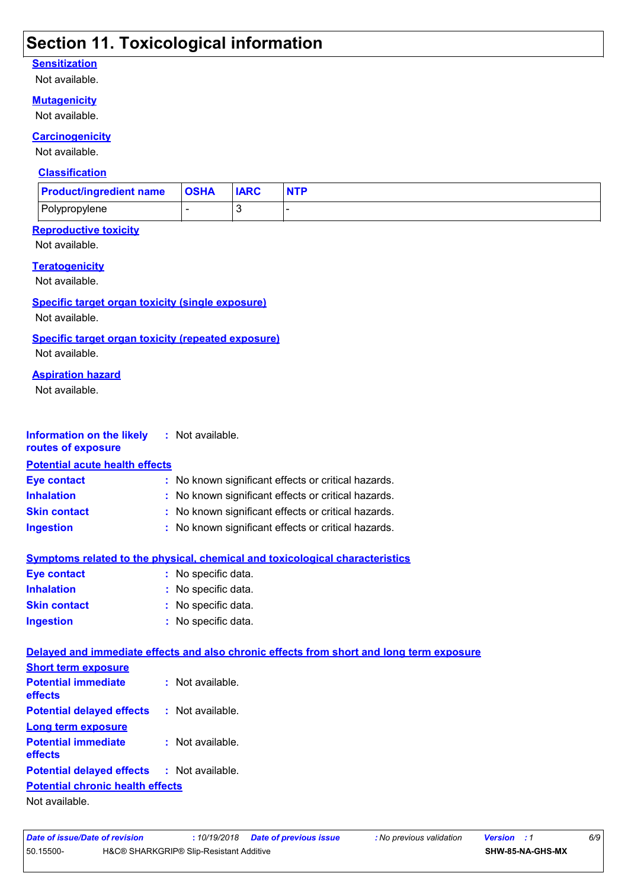# **Section 11. Toxicological information**

### **Sensitization**

Not available.

### **Mutagenicity**

Not available.

### **Carcinogenicity**

Not available.

### **Classification**

| <b>Product/ingredient name</b>                                              |                                                     | <b>OSHA</b>                                       | <b>IARC</b>  | <b>NTP</b>                                                                               |  |  |
|-----------------------------------------------------------------------------|-----------------------------------------------------|---------------------------------------------------|--------------|------------------------------------------------------------------------------------------|--|--|
| Polypropylene                                                               |                                                     | $\blacksquare$                                    | $\mathbf{3}$ | L,                                                                                       |  |  |
| <b>Reproductive toxicity</b><br>Not available.                              |                                                     |                                                   |              |                                                                                          |  |  |
| <b>Teratogenicity</b><br>Not available.                                     |                                                     |                                                   |              |                                                                                          |  |  |
| <b>Specific target organ toxicity (single exposure)</b><br>Not available.   |                                                     |                                                   |              |                                                                                          |  |  |
| <b>Specific target organ toxicity (repeated exposure)</b><br>Not available. |                                                     |                                                   |              |                                                                                          |  |  |
| <b>Aspiration hazard</b><br>Not available.                                  |                                                     |                                                   |              |                                                                                          |  |  |
| <b>Information on the likely</b><br>routes of exposure                      |                                                     | : Not available.                                  |              |                                                                                          |  |  |
| <b>Potential acute health effects</b>                                       |                                                     |                                                   |              |                                                                                          |  |  |
| <b>Eye contact</b>                                                          | : No known significant effects or critical hazards. |                                                   |              |                                                                                          |  |  |
| <b>Inhalation</b>                                                           |                                                     |                                                   |              | No known significant effects or critical hazards.                                        |  |  |
| <b>Skin contact</b>                                                         |                                                     | No known significant effects or critical hazards. |              |                                                                                          |  |  |
| <b>Ingestion</b>                                                            | : No known significant effects or critical hazards. |                                                   |              |                                                                                          |  |  |
|                                                                             |                                                     |                                                   |              | <b>Symptoms related to the physical, chemical and toxicological characteristics</b>      |  |  |
| <b>Eye contact</b>                                                          |                                                     | : No specific data.                               |              |                                                                                          |  |  |
| <b>Inhalation</b>                                                           |                                                     | No specific data.                                 |              |                                                                                          |  |  |
| <b>Skin contact</b>                                                         |                                                     | No specific data.                                 |              |                                                                                          |  |  |
| <b>Ingestion</b>                                                            |                                                     | : No specific data.                               |              |                                                                                          |  |  |
| <b>Short term exposure</b>                                                  |                                                     |                                                   |              | Delayed and immediate effects and also chronic effects from short and long term exposure |  |  |
| <b>Potential immediate</b><br>effects                                       |                                                     | : Not available.                                  |              |                                                                                          |  |  |
| <b>Potential delayed effects</b>                                            |                                                     | : Not available.                                  |              |                                                                                          |  |  |
| <b>Long term exposure</b><br><b>Potential immediate</b><br>effects          |                                                     | : Not available.                                  |              |                                                                                          |  |  |
| <b>Potential delayed effects</b>                                            |                                                     | : Not available.                                  |              |                                                                                          |  |  |
| <b>Potential chronic health effects</b>                                     |                                                     |                                                   |              |                                                                                          |  |  |
|                                                                             |                                                     |                                                   |              |                                                                                          |  |  |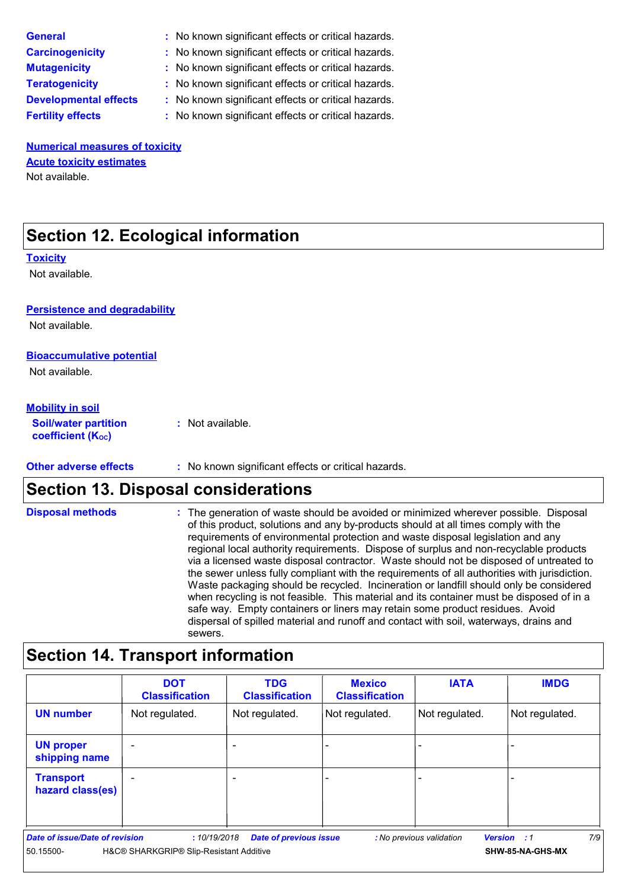| <b>General</b>                  | : No known significant effects or critical hazards. |
|---------------------------------|-----------------------------------------------------|
| <b>Carcinogenicity</b>          | : No known significant effects or critical hazards. |
| <b>Mutagenicity</b>             | : No known significant effects or critical hazards. |
| <b>Teratogenicity</b>           | : No known significant effects or critical hazards. |
| <b>Developmental effects</b>    | : No known significant effects or critical hazards. |
| <b>Fertility effects</b>        | : No known significant effects or critical hazards. |
|                                 |                                                     |
| Numorical mogetizes of toxicity |                                                     |

**Numerical measures of toxicity** Not available. **Acute toxicity estimates**

# **Section 12. Ecological information**

### **Toxicity**

Not available.

### **Persistence and degradability**

Not available.

### **Bioaccumulative potential**

Not available.

### **Mobility in soil**

**Soil/water partition coefficient (Koc) :** Not available.

**Other adverse effects** : No known significant effects or critical hazards.

### **Section 13. Disposal considerations**

The generation of waste should be avoided or minimized wherever possible. Disposal of this product, solutions and any by-products should at all times comply with the requirements of environmental protection and waste disposal legislation and any regional local authority requirements. Dispose of surplus and non-recyclable products via a licensed waste disposal contractor. Waste should not be disposed of untreated to the sewer unless fully compliant with the requirements of all authorities with jurisdiction. Waste packaging should be recycled. Incineration or landfill should only be considered when recycling is not feasible. This material and its container must be disposed of in a safe way. Empty containers or liners may retain some product residues. Avoid dispersal of spilled material and runoff and contact with soil, waterways, drains and sewers. **Disposal methods :**

### **Section 14. Transport information**

|                                             | <b>DOT</b><br><b>Classification</b>                    | <b>TDG</b><br><b>Classification</b> | <b>Mexico</b><br><b>Classification</b> | <b>IATA</b>              | <b>IMDG</b>                            |
|---------------------------------------------|--------------------------------------------------------|-------------------------------------|----------------------------------------|--------------------------|----------------------------------------|
| <b>UN number</b>                            | Not regulated.                                         | Not regulated.                      | Not regulated.                         | Not regulated.           | Not regulated.                         |
| <b>UN proper</b><br>shipping name           |                                                        | -                                   |                                        |                          |                                        |
| <b>Transport</b><br>hazard class(es)        |                                                        |                                     |                                        |                          |                                        |
| Date of issue/Date of revision<br>50.15500- | :10/19/2018<br>H&C® SHARKGRIP® Slip-Resistant Additive | <b>Date of previous issue</b>       |                                        | : No previous validation | 7/9<br>Version : 1<br>SHW-85-NA-GHS-MX |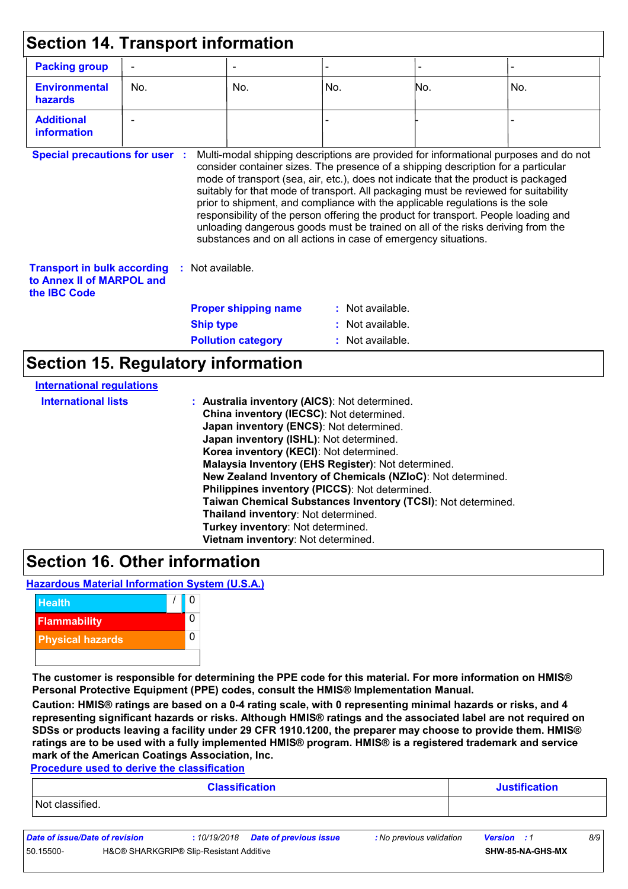| <b>Packing group</b>                                                                   |                                           |                                               |                  |                                                                                                                                                                                                                                    |                                                                                                                                                                                                                                                                                                                                                       |
|----------------------------------------------------------------------------------------|-------------------------------------------|-----------------------------------------------|------------------|------------------------------------------------------------------------------------------------------------------------------------------------------------------------------------------------------------------------------------|-------------------------------------------------------------------------------------------------------------------------------------------------------------------------------------------------------------------------------------------------------------------------------------------------------------------------------------------------------|
| <b>Environmental</b><br>hazards                                                        | No.                                       | No.                                           | No.              | No.                                                                                                                                                                                                                                | No.                                                                                                                                                                                                                                                                                                                                                   |
| <b>Additional</b><br>information                                                       |                                           |                                               |                  |                                                                                                                                                                                                                                    |                                                                                                                                                                                                                                                                                                                                                       |
| <b>Transport in bulk according</b><br>to Annex II of MARPOL and<br>the <b>IBC</b> Code | : Not available.                          |                                               |                  | prior to shipment, and compliance with the applicable regulations is the sole<br>unloading dangerous goods must be trained on all of the risks deriving from the<br>substances and on all actions in case of emergency situations. | consider container sizes. The presence of a shipping description for a particular<br>mode of transport (sea, air, etc.), does not indicate that the product is packaged<br>suitably for that mode of transport. All packaging must be reviewed for suitability<br>responsibility of the person offering the product for transport. People loading and |
|                                                                                        |                                           | <b>Proper shipping name</b>                   | : Not available. |                                                                                                                                                                                                                                    |                                                                                                                                                                                                                                                                                                                                                       |
|                                                                                        | <b>Ship type</b>                          |                                               | Not available.   |                                                                                                                                                                                                                                    |                                                                                                                                                                                                                                                                                                                                                       |
|                                                                                        |                                           | <b>Pollution category</b>                     | Not available.   |                                                                                                                                                                                                                                    |                                                                                                                                                                                                                                                                                                                                                       |
|                                                                                        | <b>Section 15. Regulatory information</b> |                                               |                  |                                                                                                                                                                                                                                    |                                                                                                                                                                                                                                                                                                                                                       |
| <b>International requlations</b><br><b>International lists</b>                         |                                           | : Australia inventory (AICS): Not determined. |                  |                                                                                                                                                                                                                                    |                                                                                                                                                                                                                                                                                                                                                       |

**China inventory (IECSC)**: Not determined. **Japan inventory (ENCS)**: Not determined. **Japan inventory (ISHL)**: Not determined. **Korea inventory (KECI)**: Not determined.

**Malaysia Inventory (EHS Register)**: Not determined.

**Philippines inventory (PICCS)**: Not determined.

**Thailand inventory**: Not determined. **Turkey inventory**: Not determined. **Vietnam inventory**: Not determined.

**New Zealand Inventory of Chemicals (NZIoC)**: Not determined.

**Taiwan Chemical Substances Inventory (TCSI)**: Not determined.

### **Section 16. Other information**

**Hazardous Material Information System (U.S.A.)**



**The customer is responsible for determining the PPE code for this material. For more information on HMIS® Personal Protective Equipment (PPE) codes, consult the HMIS® Implementation Manual.**

**Caution: HMIS® ratings are based on a 0-4 rating scale, with 0 representing minimal hazards or risks, and 4 representing significant hazards or risks. Although HMIS® ratings and the associated label are not required on SDSs or products leaving a facility under 29 CFR 1910.1200, the preparer may choose to provide them. HMIS® ratings are to be used with a fully implemented HMIS® program. HMIS® is a registered trademark and service mark of the American Coatings Association, Inc.**

**Procedure used to derive the classification**

| <b>Classification</b> | <b>Justification</b> |
|-----------------------|----------------------|
| Not classified.       |                      |

*Date of issue/Date of revision* **:** *10/19/2018 Date of previous issue : No previous validation Version : 1 8/9* 50.15500- H&C® SHARKGRIP® Slip-Resistant Additive **SHW-85-NA-GHS-MX**